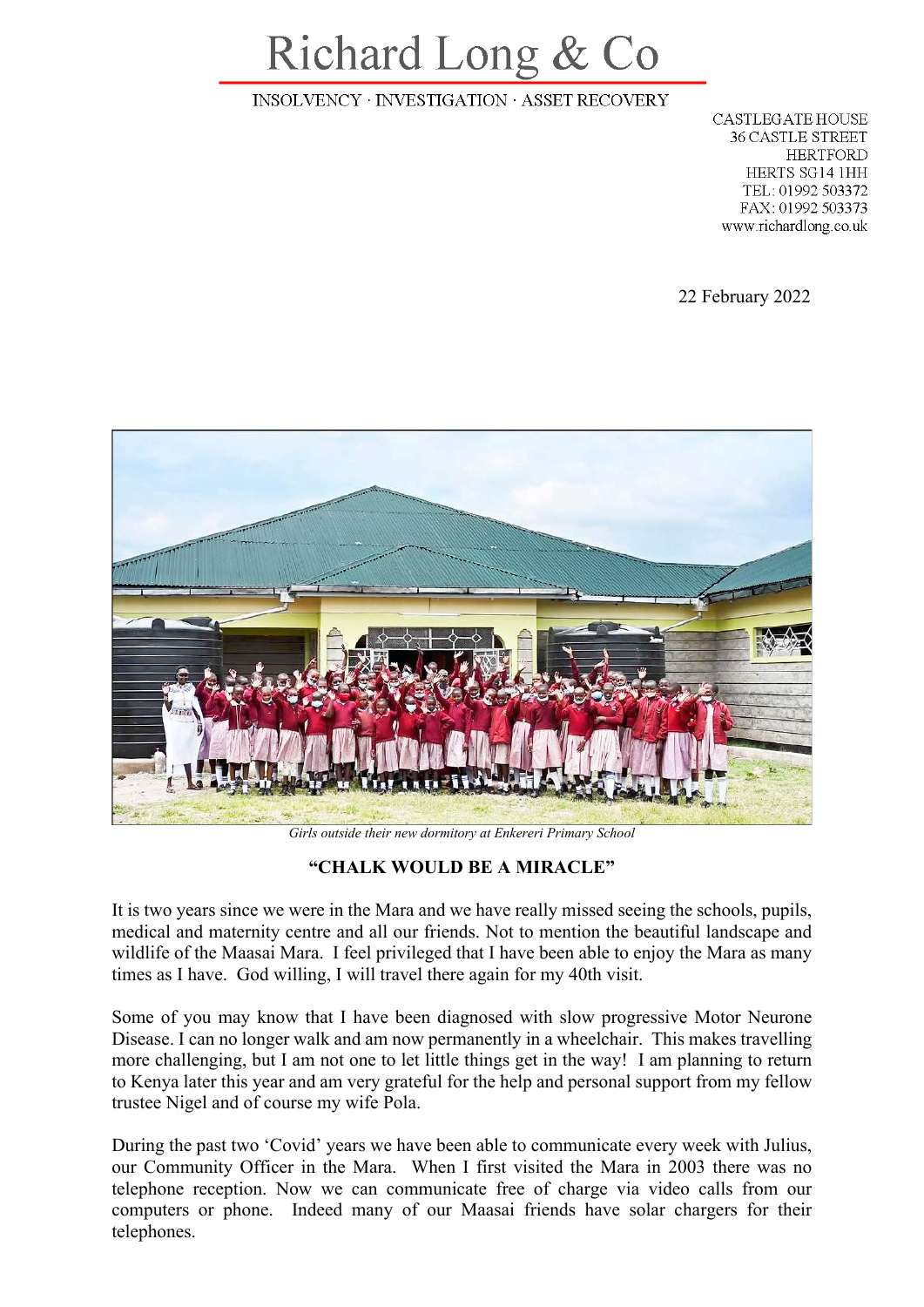## Richard Long & Co

**INSOLVENCY · INVESTIGATION · ASSET RECOVERY** 

CASTLEGATE HOUSE **36 CASTLE STREET HERTFORD** HERTS SG14 1HH TEL: 01992 503372 FAX: 01992 503373 www.richardlong.co.uk

22 February 2022



*Girls outside their new dormitory at Enkereri Primary School* 

## **"CHALK WOULD BE A MIRACLE"**

It is two years since we were in the Mara and we have really missed seeing the schools, pupils, medical and maternity centre and all our friends. Not to mention the beautiful landscape and wildlife of the Maasai Mara. I feel privileged that I have been able to enjoy the Mara as many times as I have. God willing, I will travel there again for my 40th visit.

Some of you may know that I have been diagnosed with slow progressive Motor Neurone Disease. I can no longer walk and am now permanently in a wheelchair. This makes travelling more challenging, but I am not one to let little things get in the way! I am planning to return to Kenya later this year and am very grateful for the help and personal support from my fellow trustee Nigel and of course my wife Pola.

During the past two 'Covid' years we have been able to communicate every week with Julius, our Community Officer in the Mara. When I first visited the Mara in 2003 there was no telephone reception. Now we can communicate free of charge via video calls from our computers or phone. Indeed many of our Maasai friends have solar chargers for their telephones.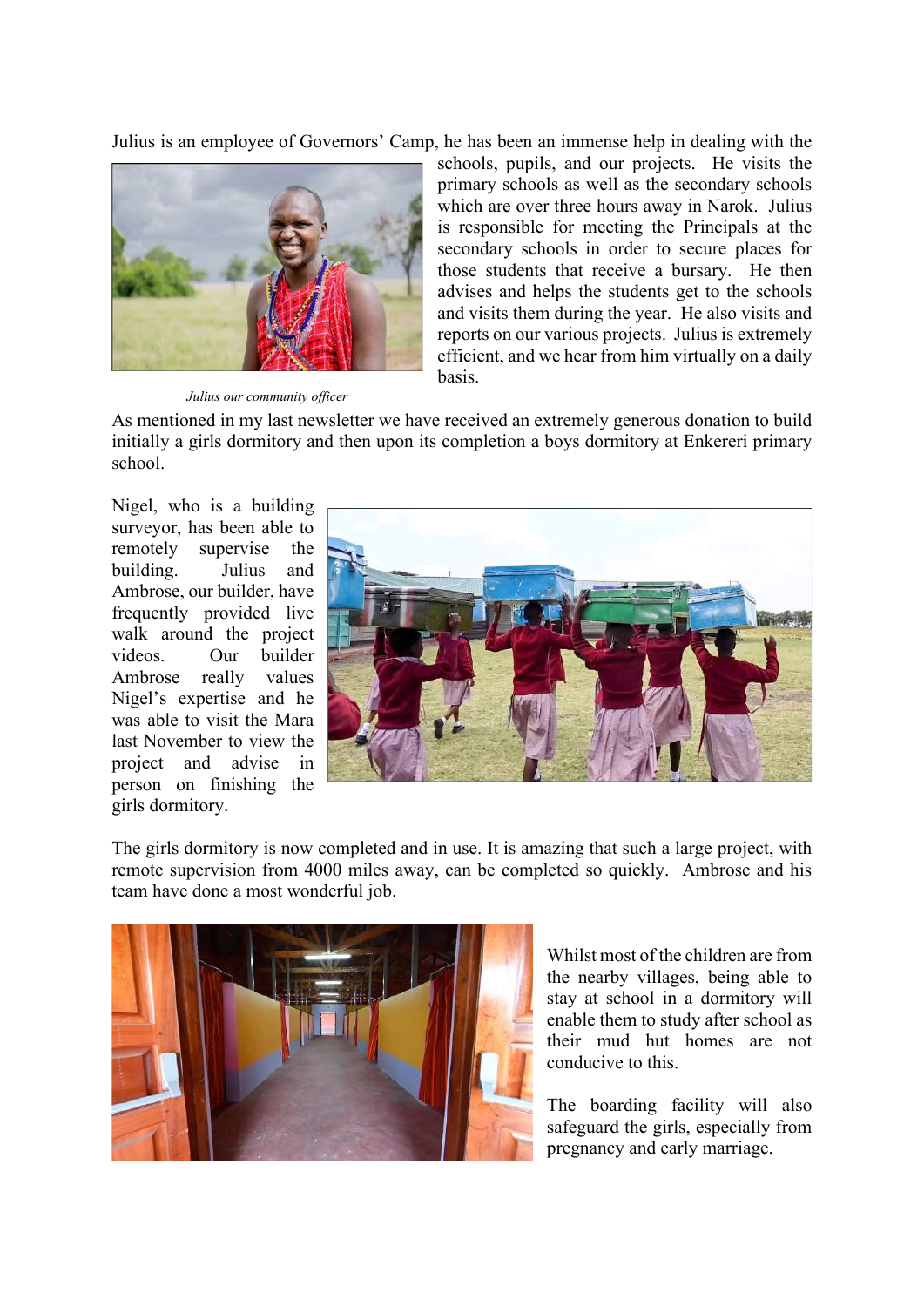Julius is an employee of Governors' Camp, he has been an immense help in dealing with the



*Julius our community officer*

schools, pupils, and our projects. He visits the primary schools as well as the secondary schools which are over three hours away in Narok. Julius is responsible for meeting the Principals at the secondary schools in order to secure places for those students that receive a bursary. He then advises and helps the students get to the schools and visits them during the year. He also visits and reports on our various projects. Julius is extremely efficient, and we hear from him virtually on a daily basis.

As mentioned in my last newsletter we have received an extremely generous donation to build initially a girls dormitory and then upon its completion a boys dormitory at Enkereri primary school.

Nigel, who is a building surveyor, has been able to remotely supervise the building. Julius and Ambrose, our builder, have frequently provided live walk around the project videos. Our builder Ambrose really values Nigel's expertise and he was able to visit the Mara last November to view the project and advise in person on finishing the girls dormitory.



The girls dormitory is now completed and in use. It is amazing that such a large project, with remote supervision from 4000 miles away, can be completed so quickly. Ambrose and his team have done a most wonderful job.



Whilst most of the children are from the nearby villages, being able to stay at school in a dormitory will enable them to study after school as their mud hut homes are not conducive to this.

The boarding facility will also safeguard the girls, especially from pregnancy and early marriage.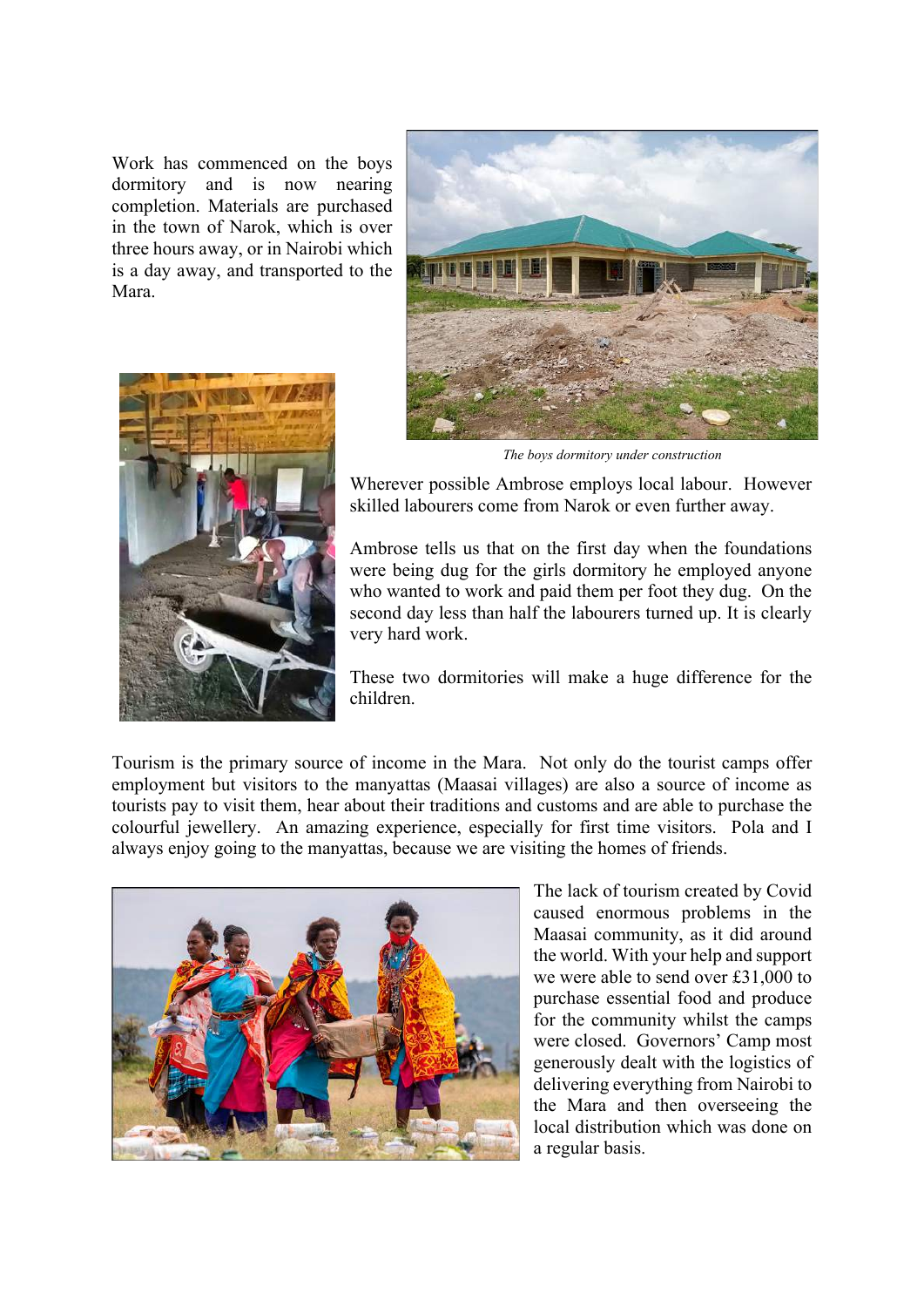Work has commenced on the boys dormitory and is now nearing completion. Materials are purchased in the town of Narok, which is over three hours away, or in Nairobi which is a day away, and transported to the Mara.





*The boys dormitory under construction*

Wherever possible Ambrose employs local labour. However skilled labourers come from Narok or even further away.

Ambrose tells us that on the first day when the foundations were being dug for the girls dormitory he employed anyone who wanted to work and paid them per foot they dug. On the second day less than half the labourers turned up. It is clearly very hard work.

These two dormitories will make a huge difference for the children.

Tourism is the primary source of income in the Mara. Not only do the tourist camps offer employment but visitors to the manyattas (Maasai villages) are also a source of income as tourists pay to visit them, hear about their traditions and customs and are able to purchase the colourful jewellery. An amazing experience, especially for first time visitors. Pola and I always enjoy going to the manyattas, because we are visiting the homes of friends.



The lack of tourism created by Covid caused enormous problems in the Maasai community, as it did around the world. With your help and support we were able to send over £31,000 to purchase essential food and produce for the community whilst the camps were closed. Governors' Camp most generously dealt with the logistics of delivering everything from Nairobi to the Mara and then overseeing the local distribution which was done on a regular basis.